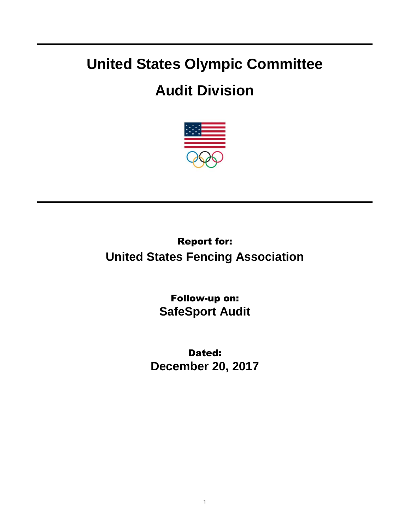## **United States Olympic Committee**

## **Audit Division**



Report for: **United States Fencing Association**

> Follow-up on: **SafeSport Audit**

Dated: **December 20, 2017**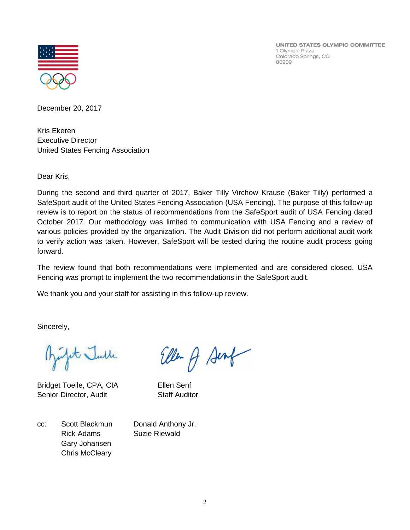UNITED STATES OLYMPIC COMMITTEE 1 Olympic Plaza Colorado Springs, CO 80909



December 20, 2017

Kris Ekeren Executive Director United States Fencing Association

Dear Kris,

During the second and third quarter of 2017, Baker Tilly Virchow Krause (Baker Tilly) performed a SafeSport audit of the United States Fencing Association (USA Fencing). The purpose of this follow-up review is to report on the status of recommendations from the SafeSport audit of USA Fencing dated October 2017. Our methodology was limited to communication with USA Fencing and a review of various policies provided by the organization. The Audit Division did not perform additional audit work to verify action was taken. However, SafeSport will be tested during the routine audit process going forward.

The review found that both recommendations were implemented and are considered closed. USA Fencing was prompt to implement the two recommendations in the SafeSport audit.

We thank you and your staff for assisting in this follow-up review.

Sincerely,

pt Julle

Bridget Toelle, CPA, CIA Ellen Senf Senior Director, Audit Staff Auditor

Ellen A Sent

cc: Scott Blackmun Donald Anthony Jr. Rick Adams Suzie Riewald Gary Johansen Chris McCleary